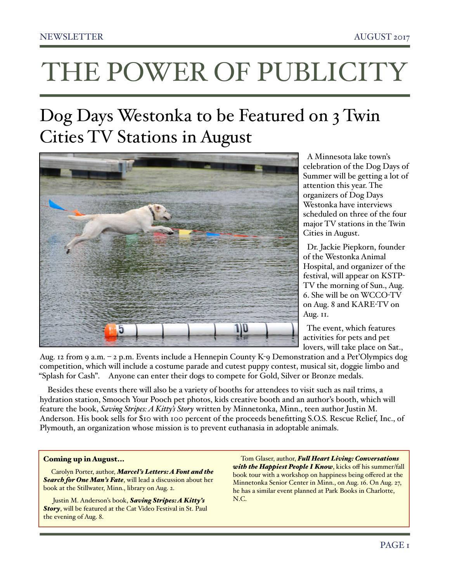# THE POWER OF PUBLICITY

# Dog Days Westonka to be Featured on 3 Twin Cities TV Stations in August



celebration of the Dog Days of Summer will be getting a lot of attention this year. The organizers of Dog Days Westonka have interviews scheduled on three of the four major TV stations in the Twin Cities in August.

 Dr. Jackie Piepkorn, founder of the Westonka Animal Hospital, and organizer of the festival, will appear on KSTP-TV the morning of Sun., Aug. 6. She will be on WCCO-TV on Aug. 8 and KARE-TV on Aug. II.

 The event, which features activities for pets and pet lovers, will take place on Sat.,

Aug. 12 from 9 a.m. – 2 p.m. Events include a Hennepin County K-9 Demonstration and a Pet'Olympics dog competition, which will include a costume parade and cutest puppy contest, musical sit, doggie limbo and "Splash for Cash". Anyone can enter their dogs to compete for Gold, Silver or Bronze medals.

Besides these events there will also be a variety of booths for attendees to visit such as nail trims, a hydration station, Smooch Your Pooch pet photos, kids creative booth and an author's booth, which will feature the book, *Saving Stripes: A Kitty's Story* written by Minnetonka, Minn., teen author Justin M. Anderson. His book sells for \$10 with 100 percent of the proceeds benefitting S.O.S. Rescue Relief, Inc., of Plymouth, an organization whose mission is to prevent euthanasia in adoptable animals.

#### Coming up in August...

Carolyn Porter, author, *Marcel's Letters: A Font and the Search for One Man's Fate*, will lead a discussion about her book at the Stillwater, Minn., library on Aug. 2.

 Justin M. Anderson's book, *Saving Stripes: A Kitty's Story*, will be featured at the Cat Video Festival in St. Paul the evening of Aug. 8.

Tom Glaser, author, *Ful Heart Living: Conversations with the Happiest People I Know*, kicks off his summer/fall book tour with a workshop on happiness being offered at the Minnetonka Senior Center in Minn., on Aug. 16. On Aug. 27, he has a similar event planned at Park Books in Charlotte, N.C.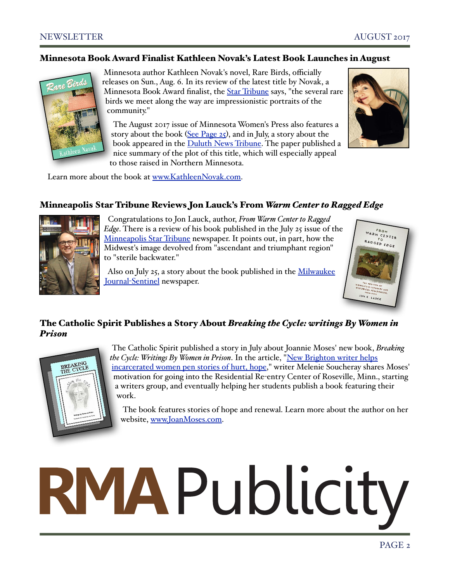#### Minnesota Book Award Finalist Kathleen Novak's Latest Book Launches in August



Minnesota author Kathleen Novak's novel, Rare Birds, officially releases on Sun., Aug. 6. In its review of the latest title by Novak, a Minnesota Book Award finalist, the [Star Tribune](http://m.startribune.com/review-rare-birds-by-kathleen-novak/437048313/?section=variety) says, "the several rare birds we meet along the way are impressionistic portraits of the community."

 The August 2017 issue of Minnesota Women's Press also features a story about the book ([See Page 25](http://eedition.womenspress.com/main.asp?SectionID=2&SubSectionID=176&PageID=25)), and in July, a story about the book appeared in the [Duluth News Tribune.](http://www.duluthnewstribune.com/features/pursuits/4297115-readings-writers-july-16-2017) The paper published a nice summary of the plot of this title, which will especially appeal to those raised in Northern Minnesota.



Learn more about the book at [www.KathleenNovak.com.](http://www.kathleennovak.com/)

# Minneapolis Star Tribune Reviews Jon Lauck's From *Warm Center to Ragged Edge*



 Congratulations to Jon Lauck, author, *From Warm Center to Raged Edge*. There is a review of his book published in the July 25 issue of the [Minneapolis Star Tribune](http://www.startribune.com/review-from-warm-center-to-ragged-edge-by-jon-k-lauck/436327533/) newspaper. It points out, in part, how the Midwest's image devolved from "ascendant and triumphant region" to "sterile backwater."

 Also on July 25, a story about the book published in the [Milwaukee](http://www.jsonline.com/story/news/local/wisconsin/2017/07/25/bar-full-academics-few-old-fashioneds-and-donald-trump-spur-midwest-history-resurgence/496708001/)  Journal-[Sentinel](http://www.jsonline.com/story/news/local/wisconsin/2017/07/25/bar-full-academics-few-old-fashioneds-and-donald-trump-spur-midwest-history-resurgence/496708001/) newspaper.



# The Catholic Spirit Publishes a Story About *Breaking the Cycle: writings By Women in Prison*



 The Catholic Spirit published a story in July about Joannie Moses' new book, *Breaking the Cycle: Writings By Women in Prison*. In the article, ["New Brighton writer helps](http://thecatholicspirit.com/news/local-news/new-brighton-writer-helps-incarcerated-women-pen-stories-hurt-hope/)  [incarcerated women pen stories of hurt, hope,](http://thecatholicspirit.com/news/local-news/new-brighton-writer-helps-incarcerated-women-pen-stories-hurt-hope/)" writer Melenie Soucheray shares Moses' motivation for going into the Residential Re-entry Center of Roseville, Minn., starting a writers group, and eventually helping her students publish a book featuring their work.

 The book features stories of hope and renewal. Learn more about the author on her website, [www.JoanMoses.com.](http://www.joanmoses.com)

# RMAPublicity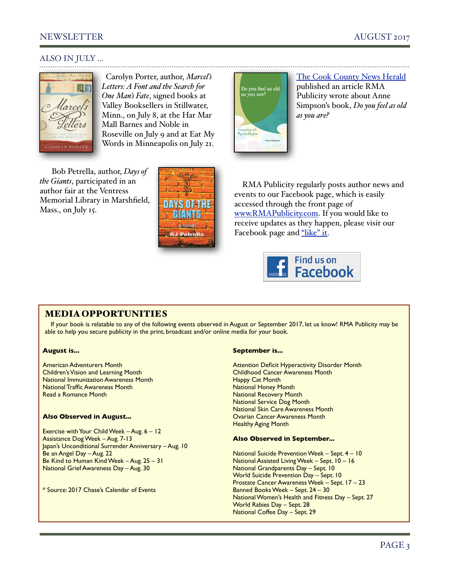# NEWSLETTER AUGUST 2017

[The Cook County News Herald](http://www.cookcountynews-herald.com/news/2017-07-15/General_News/Do_You_Feel_as_Old_as_You_Are_A_book_by_Anne_Simps.html) published an article RMA Publicity wrote about Anne Simpson's book, *Do you feel as old* 

### ALSO IN JULY ...



 Carolyn Porter, author, *Marcel's Letters: A Font and the Search for One Man's Fate*, signed books at Valley Booksellers in Stillwater, Minn., on July 8, at the Har Mar Mall Barnes and Noble in Roseville on July 9 and at Eat My Words in Minneapolis on July 21.

 Bob Petrella, author, *Days of the Giants*, participated in an author fair at the Ventress Memorial Library in Marshfield, Mass., on July 15.



RMA Publicity regularly posts author news and events to our Facebook page, which is easily accessed through the front page of [www.RMAPublicity.com.](http://www.RMAPublicity.com) If you would like to receive updates as they happen, please visit our Facebook page and ["like" it.](https://www.facebook.com/rmapublicity1)

*as you are?*



### MEDIA OPPORTUNITIES

If your book is relatable to any of the following events observed in August or September 2017, let us know! RMA Publicity may be able to help you secure publicity in the print, broadcast and/or online media for your book.

#### **August is...**

American Adventurers Month Children's Vision and Learning Month National Immunization Awareness Month National Traffic Awareness Month Read a Romance Month

#### **Also Observed in August...**

Exercise with Your Child Week – Aug. 6 – 12 Assistance Dog Week – Aug. 7-13 Japan's Unconditional Surrender Anniversary – Aug. 10 Be an Angel Day – Aug. 22 Be Kind to Human Kind Week – Aug. 25 – 31 National Grief Awareness Day – Aug. 30

\* Source: 2017 Chase's Calendar of Events

#### **September is...**

Do you feel as old<br>as you are?

Attention Deficit Hyperactivity Disorder Month Childhood Cancer Awareness Month Happy Cat Month National Honey Month National Recovery Month National Service Dog Month National Skin Care Awareness Month Ovarian Cancer Awareness Month Healthy Aging Month

#### **Also Observed in September...**

National Suicide Prevention Week – Sept. 4 – 10 National Assisted Living Week – Sept. 10 – 16 National Grandparents Day – Sept. 10 World Suicide Prevention Day – Sept. 10 Prostate Cancer Awareness Week – Sept. 17 – 23 Banned Books Week – Sept. 24 – 30 National Women's Health and Fitness Day – Sept. 27 World Rabies Day – Sept. 28 National Coffee Day – Sept. 29